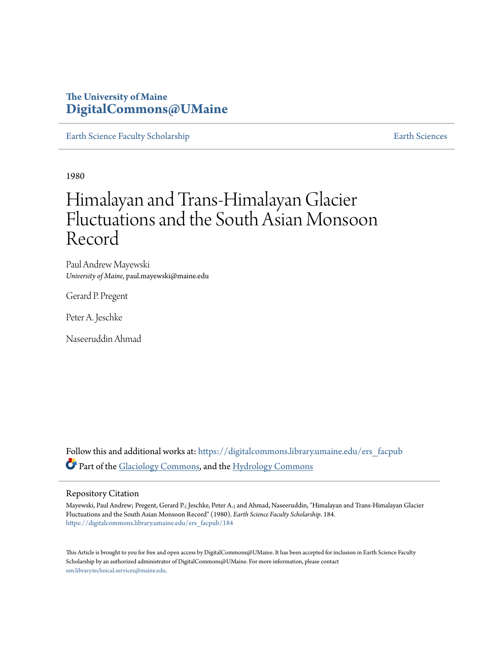# **The University of Maine [DigitalCommons@UMaine](https://digitalcommons.library.umaine.edu?utm_source=digitalcommons.library.umaine.edu%2Fers_facpub%2F184&utm_medium=PDF&utm_campaign=PDFCoverPages)**

[Earth Science Faculty Scholarship](https://digitalcommons.library.umaine.edu/ers_facpub?utm_source=digitalcommons.library.umaine.edu%2Fers_facpub%2F184&utm_medium=PDF&utm_campaign=PDFCoverPages) **[Earth Sciences](https://digitalcommons.library.umaine.edu/ers?utm_source=digitalcommons.library.umaine.edu%2Fers_facpub%2F184&utm_medium=PDF&utm_campaign=PDFCoverPages)** 

1980

# Himalayan and Trans-Himalayan Glacier Fluctuations and the South Asian Monsoon Record

Paul Andrew Mayewski *University of Maine*, paul.mayewski@maine.edu

Gerard P. Pregent

Peter A. Jeschke

Naseeruddin Ahmad

Follow this and additional works at: [https://digitalcommons.library.umaine.edu/ers\\_facpub](https://digitalcommons.library.umaine.edu/ers_facpub?utm_source=digitalcommons.library.umaine.edu%2Fers_facpub%2F184&utm_medium=PDF&utm_campaign=PDFCoverPages) Part of the [Glaciology Commons,](http://network.bepress.com/hgg/discipline/159?utm_source=digitalcommons.library.umaine.edu%2Fers_facpub%2F184&utm_medium=PDF&utm_campaign=PDFCoverPages) and the [Hydrology Commons](http://network.bepress.com/hgg/discipline/1054?utm_source=digitalcommons.library.umaine.edu%2Fers_facpub%2F184&utm_medium=PDF&utm_campaign=PDFCoverPages)

### Repository Citation

Mayewski, Paul Andrew; Pregent, Gerard P.; Jeschke, Peter A.; and Ahmad, Naseeruddin, "Himalayan and Trans-Himalayan Glacier Fluctuations and the South Asian Monsoon Record" (1980). *Earth Science Faculty Scholarship*. 184. [https://digitalcommons.library.umaine.edu/ers\\_facpub/184](https://digitalcommons.library.umaine.edu/ers_facpub/184?utm_source=digitalcommons.library.umaine.edu%2Fers_facpub%2F184&utm_medium=PDF&utm_campaign=PDFCoverPages)

This Article is brought to you for free and open access by DigitalCommons@UMaine. It has been accepted for inclusion in Earth Science Faculty Scholarship by an authorized administrator of DigitalCommons@UMaine. For more information, please contact [um.library.technical.services@maine.edu](mailto:um.library.technical.services@maine.edu).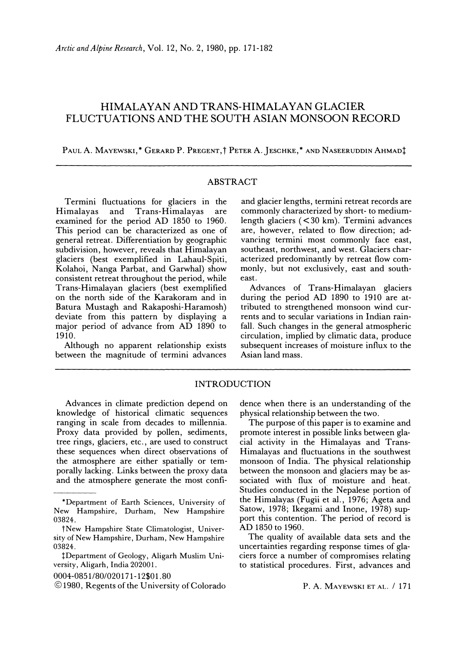## HIMALAYAN AND TRANS-HIMALAYAN GLACIER FLUCTUATIONS AND THE SOUTH ASIAN MONSOON RECORD

PAUL A. MAYEWSKI,\* GERARD P. PREGENT, † PETER A. JESCHKE,\* AND NASEERUDDIN AHMAD!

#### ABSTRACT

Termini fluctuations for glaciers in the Trans-Himalayas are examined for the period AD 1850 to 1960. This period can be characterized as one of general retreat. Differentiation by geographic subdivision, however, reveals that Himalayan glaciers (best exemplified in Lahaul-Spiti, Kolahoi, Nanga Parbat, and Garwhal) show consistent retreat throughout the period, while Trans-Himalayan glaciers (best exemplified on the north side of the Karakoram and in Batura Mustagh and Rakaposhi-Haramosh) deviate from this pattern by displaying a major period of advance from AD 1890 to 1910.

Although no apparent relationship exists between the magnitude of termini advances

and glacier lengths, termini retreat records are commonly characterized by short- to mediumlength glaciers  $(< 30 \text{ km})$ . Termini advances are, however, related to flow direction; advancing termini most commonly face east, southeast, northwest, and west. Glaciers characterized predominantly by retreat flow commonly, but not exclusively, east and southeast.

Advances of Trans-Himalayan glaciers during the period AD 1890 to 1910 are attributed to strengthened monsoon wind currents and to secular variations in Indian rainfall. Such changes in the general atmospheric circulation, implied by climatic data, produce subsequent increases of moisture influx to the Asian land mass.

#### INTRODUCTION

Advances in climate prediction depend on knowledge of historical climatic sequences ranging in scale from decades to millennia. Proxy data provided by pollen, sediments, tree rings, glaciers, etc., are used to construct these sequences when direct observations of the atmosphere are either spatially or temporally lacking. Links between the proxy data and the atmosphere generate the most confidence when there is an understanding of the physical relationship between the two.

The purpose of this paper is to examine and promote interest in possible links between glacial activity in the Himalayas and Trans-Himalayas and fluctuations in the southwest monsoon of India. The physical relationship between the monsoon and glaciers may be associated with flux of moisture and heat. Studies conducted in the Nepalese portion of the Himalayas (Fugii et aI., 1976; Ageta and Satow, 1978; Ikegami and Inone, 1978) support this contention. The period of record is AD 1850 to 1960.

The quality of available data sets and the uncertainties regarding response times of glaciers force a number of compromises relating to statistical procedures. First, advances and

P. A. MAYEWSKI ET AL. / 171

<sup>&</sup>quot;Department of Earth Sciences, University of New Hampshire, Durham, New Hampshire 03824.

tNew Hampshire State Climatologist, University of New Hampshire, Durham, New Hampshire 03824.

tDepartment of Geology, Aligarh Muslim University, Aligarh, India 202001.

<sup>0004-0851180/020171-12\$01.80</sup> 

<sup>©1980,</sup> Regents of the University of Colorado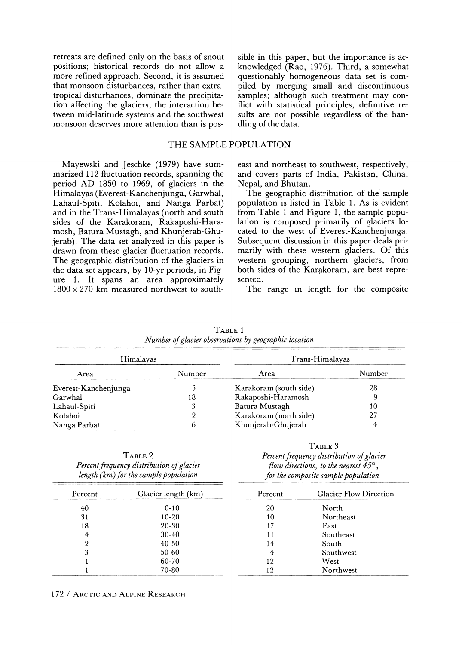retreats are defined only on the basis of snout positions; historical records do not allow a more refined approach. Second, it is assumed that monsoon disturbances, rather than extratropical disturbances, dominate the precipitation affecting the glaciers; the interaction between mid-latitude systems and the southwest monsoon deserves more attention than is pos-

THE SAMPLE POPULATION

Mayewski and Jeschke (1979) have summarized 112 fluctuation records, spanning the period AD 1850 to 1969, of glaciers in the Himalayas (Everest-Kanchenjunga, Garwhal, Lahaul-Spiti, Kolahoi, and Nanga Parbat) and in the Trans-Himalayas (north and south sides of the Karakoram, Rakaposhi-Haramosh, Batura Mustagh, and Khunjerab-Ghujerab). The data set analyzed in this paper is drawn from these glacier fluctuation records. The geographic distribution of the glaciers in the data set appears, by 10-yr periods, in Figure 1. It spans an area approximately  $1800 \times 270$  km measured northwest to south-

east and northeast to southwest, respectively, and covers parts of India, Pakistan, China, Nepal, and Bhutan.

The geographic distribution of the sample population is listed in Table 1. As is evident from Table 1 and Figure 1, the sample population is composed primarily of glaciers located to the west of Everest-Kanchenjunga. Subsequent discussion in this paper deals primarily with these western glaciers. Of this western grouping, northern glaciers, from both sides of the Karakoram, are best represented.

The range in length for the composite

| Himalayas            |        | Trans-Himalayas        |        |
|----------------------|--------|------------------------|--------|
| Area                 | Number | Area                   | Number |
| Everest-Kanchenjunga |        | Karakoram (south side) | 28     |
| Garwhal              | 18     | Rakaposhi-Haramosh     |        |
| Lahaul-Spiti         |        | Batura Mustagh         | 10     |
| Kolahoi              |        | Karakoram (north side) | 27     |
| Nanga Parbat         |        | Khunjerab-Ghujerab     |        |

TABLE 1 *Number* of *glacier observations by geographic location* 

| TABLE 2                                   |  |  |  |  |
|-------------------------------------------|--|--|--|--|
| Percent frequency distribution of glacier |  |  |  |  |
| length $(km)$ for the sample population   |  |  |  |  |

TABLE 3 *Percent frequency distribution* of *glacier flow directions, to the nearest* 45° , *for the composite sample population* 

| Percent | Glacier length (km) | Percent | <b>Glacier Flow Direction</b> |  |
|---------|---------------------|---------|-------------------------------|--|
| 40      | $0 - 10$            | 20      | North                         |  |
| 31      | $10-20$             | 10      | Northeast                     |  |
| 18      | 20-30               | 17      | East                          |  |
| 4       | $30-40$             | 11      | Southeast                     |  |
|         | $40 - 50$           | 14      | South                         |  |
| 3       | $50 - 60$           | 4       | Southwest                     |  |
|         | 60-70               | 12      | West                          |  |
|         | 70-80               | 12      | Northwest                     |  |

#### 172 / ARCTIC AND ALPINE RESEARCH

sible in this paper, but the importance is acknowledged (Rao, 1976). Third, a somewhat questionably homogeneous data set is compiled by merging small and discontinuous samples; although such treatment may conflict with statistical principles, definitive results are not possible regardless of the handling of the data.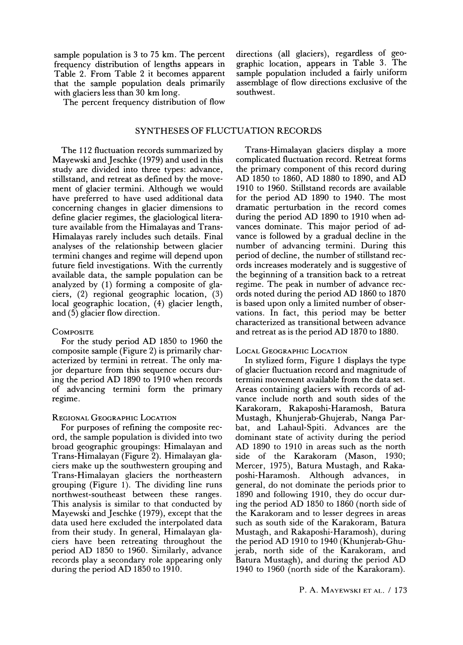sample population is 3 to 75 km. The percent frequency distribution of lengths appears in Table 2. From Table 2 it becomes apparent that the sample population deals primarily with glaciers less than 30 km long.

The percent frequency distribution of flow

directions (all glaciers), regardless of geographic location, appears in Table 3. The sample population included a fairly uniform assemblage of flow directions exclusive of the southwest.

#### SYNTHESES OF FLUCTUATION RECORDS

The 112 fluctuation records summarized by Mayewski and Jeschke (1979) and used in this study are divided into three types: advance, stillstand, and retreat as defined by the movement of glacier termini. Although we would have preferred to have used additional data concerning changes in glacier dimensions to define glacier regimes, the glaciological literature available from the Himalayas and Trans-Himalayas rarely includes such details. Final analyses of the relationship between glacier termini changes and regime will depend upon future field investigations. With the currently available data, the sample population can be analyzed by (1) forming a composite of glaciers, (2) regional geographic location, (3) local geographic location, (4) glacier length, and (5) glacier flow direction.

#### **COMPOSITE**

For the study period AD 1850 to 1960 the composite sample (Figure 2) is primarily characterized by termini in retreat. The only major departure from this sequence occurs during the period AD 1890 to 1910 when records of advancing termini form the primary regime.

#### REGIONAL GEOGRAPHIC LOCATION

For purposes of refining the composite record, the sample population is divided into two broad geographic groupings: Himalayan and Trans-Himalayan (Figure 2). Himalayan glaciers make up the southwestern grouping and Trans-Himalayan glaciers the northeastern grouping (Figure 1). The dividing line runs northwest-southeast between these ranges. This analysis is similar to that conducted by Mayewski and Jeschke (1979), except that the data used here excluded the interpolated data from their study. In general, Himalayan glaciers have been retreating throughout the period AD 1850 to 1960. Similarly, advance records play a secondary role appearing only during the period AD 1850 to 1910.

Trans-Himalayan glaciers display a more complicated fluctuation record. Retreat forms the primary component of this record during AD 1850 to 1860, AD 1880 to 1890, and AD 1910 to 1960. Stillstand records are available for the period AD 1890 to 1940. The most dramatic perturbation in the record comes during the period AD 1890 to 1910 when advances dominate. This major period of advance is followed by a gradual decline in the number of advancing termini. During this period of decline, the number of stillstand records increases moderately and is suggestive of the beginning of a transition back to a retreat regime. The peak in number of advance records noted during the period AD 1860 to 1870 is based upon only a limited number of observations. In fact, this period may be better characterized as transitional between advance and retreat as is the period AD 1870 to 1880.

#### LOCAL GEOGRAPHIC LOCATION

In stylized form, Figure 1 displays the type of glacier fluctuation record and magnitude of termini movement available from the data set. Areas containing glaciers with records of advance include north and south sides of the Karakoram, Rakaposhi-Haramosh, Batura Mustagh, Khunjerab-Ghujerab, Nanga Parbat, and Lahaul-Spiti. Advances are the dominant state of activity during the period AD 1890 to 1910 in areas such as the north side of the Karakoram (Mason, 1930; Mercer, 1975), Batura Mustagh, and Rakaposhi-Haramosh. Although advances, in general, do not dominate the periods prior to 1890 and following 1910, they do occur during the period AD 1850 to 1860 (north side of the Karakoram and to lesser degrees in areas such as south side of the Karakoram, Batura Mustagh, and Rakaposhi-Haramosh), during the period AD 1910 to 1940 (Khunjerab-Ghujerab, north side of the Karakoram, and Batura Mustagh), and during the period AD 1940 to 1960 (north side of the Karakoram).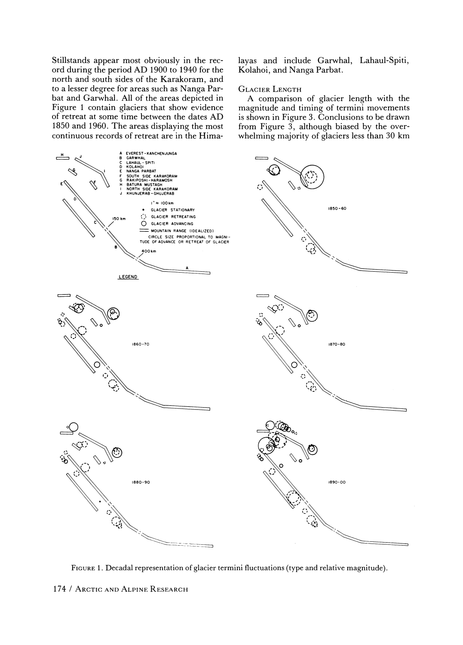Stillstands appear most obviously in the record during the period AD 1900 to 1940 for the north and south sides of the Karakoram, and to a lesser degree for areas such as Nanga Parbat and Garwhal. All of the areas depicted in Figure 1 contain glaciers that show evidence of retreat at some time between the dates AD 1850 and 1960. The areas displaying the most continuous records of retreat are in the Himalayas and include Garwhal, Lahaul-Spiti, Kolahoi, and Nanga Parbat.

#### GLACIER LENGTH

A comparison of glacier length with the magnitude and timing of termini movements is shown in Figure 3. Conclusions to be drawn from Figure  $\overline{3}$ , although biased by the overwhelming majority of glaciers less than 30 km



FIGURE 1. Decadal representation of glacier termini fluctuations (type and relative magnitude).

<sup>174 /</sup> ARCTIC AND ALPINE RESEARCH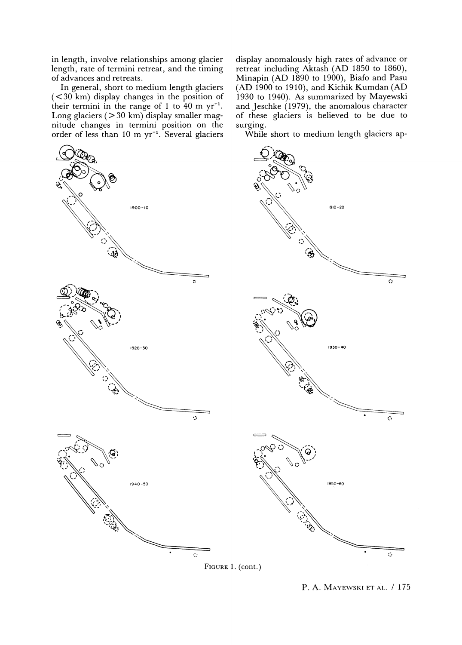in length, involve relationships among glacier length, rate of termini retreat, and the timing of advances and retreats.

**In** general, short to medium length glaciers  $(< 30$  km) display changes in the position of their termini in the range of 1 to 40 m  $yr^{-1}$ . Long glaciers (> 30 km) display smaller magnitude changes in termini position on the order of less than 10 m yr<sup>-1</sup>. Several glaciers

 $1900 - 10$ ó 1920-30 ö  $\mathbb{Q}$  $1940 - 50$ 

display anomalously high rates of advance or retreat including Aktash (AD 1850 to 1860), Minapin (AD 1890 to 1900), Biafo and Pasu (AD 1900 to 1910), and Kichik Kumdan (AD 1930 to 1940). As summarized by Mayewski and Jeschke (1979), the anomalous character of these glaciers is believed to be due to surging.

While short to medium length glaciers ap-





ó

P. A. MAYEWSKI ET AL. / 175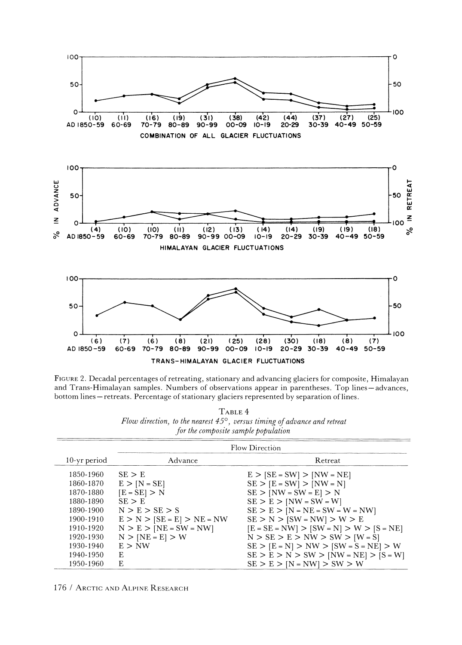

FIGURE 2. Decadal percentages of retreating, stationary and advancing glaciers for composite, Himalayan and Trans-Himalayan samples. Numbers of observations appear in parentheses. Top lines-advances, bottom lines - retreats. Percentage of stationary glaciers represented by separation of lines.

| TABLE 4                             |                                                                                    |  |  |  |  |
|-------------------------------------|------------------------------------------------------------------------------------|--|--|--|--|
|                                     | Flow direction, to the nearest $45^{\circ}$ , versus timing of advance and retreat |  |  |  |  |
| for the composite sample population |                                                                                    |  |  |  |  |

|                 | Flow Direction               |                                           |  |
|-----------------|------------------------------|-------------------------------------------|--|
| $10$ -yr period | Advance                      | Retreat                                   |  |
| 1850-1960       | SE > E                       | $E >$ [SE = SW] $>$ [NW = NE]             |  |
| 1860-1870       | $E > [N - SE]$               | $SE > [E = SW] > [NW = N]$                |  |
| 1870-1880       | $[E = SE] > N$               | $SE > [NW = SW = E] > N$                  |  |
| 1880-1890       | SE > E                       | $SE > E > [NW = SW = W]$                  |  |
| 1890-1900       | N > E > SE > S               | $SE > E > [N = NE = SW = W = NW]$         |  |
| 1900-1910       | $E > N >$ [SE = E] > NE = NW | $SE > N >$ [SW = NW] > W > E              |  |
| 1910-1920       | $N > E > [NE = SW = NW]$     | $[E = SE = NW] > [SW = N] > W > [S = NE]$ |  |
| 1920-1930       | $N > [NE = E] > W$           | $N > SE > E > NW > SW > [W = S]$          |  |
| 1930-1940       | E > NW                       | $SE > [E = N] > NW > [SW = S = NE] > W$   |  |
| 1940-1950       | F.                           | $SE > E > N > SW > [NW = NE] > [S = W]$   |  |
| 1950-1960       | F.                           | $SE > E > [N = NW] > SW > W$              |  |

176 / ARCTIC AND ALPINE RESEARCH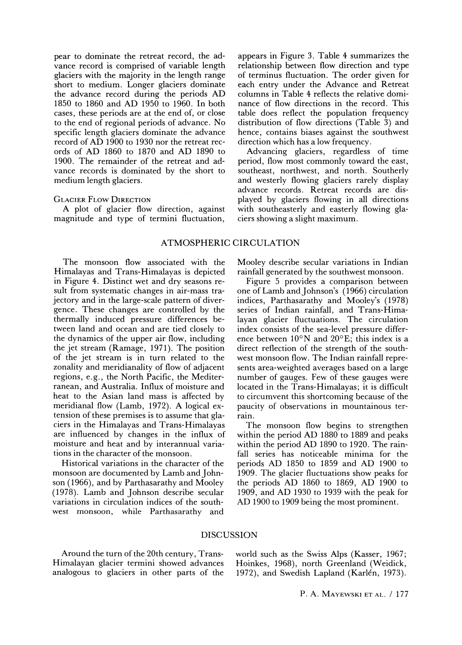pear to dominate the retreat record, the advance record is comprised of variable length glaciers with the majority in the length range short to medium. Longer glaciers dominate the advance record during the periods AD 1850 to 1860 and AD 1950 to 1960. In both cases, these periods are at the end of, or close to the end of regional periods of advance. No specific length glaciers dominate the advance record of AD 1900 to 1930 nor the retreat records of AD 1860 to 1870 and AD 1890 to 1900. The remainder of the retreat and advance records is dominated by the short to medium length glaciers.

#### GLACIER FLOW DIRECTION

A plot of glacier flow direction, against magnitude and type of termini fluctuation,

#### ATMOSPHERIC CIRCULATION

The monsoon flow associated with the Himalayas and Trans-Himalayas is depicted in Figure 4. Distinct wet and dry seasons result from systematic changes in air-mass trajectory and in the large-scale pattern of divergence. These changes are controlled by the thermally induced pressure differences between land and ocean and are tied closely to the dynamics of the upper air flow, including the jet stream (Ramage, 1971). The position of the jet stream is in turn related to the zonality and meridianality of flow of adjacent regions, e.g., the North Pacific, the Mediterranean, and Australia. Influx of moisture and heat to the Asian land mass is affected by meridianal flow (Lamb, 1972). A logical extension of these premises is to assume that glaciers in the Himalayas and Trans-Himalayas are influenced by changes in the influx of moisture and heat and by interannual variations in the character of the monsoon.

Historical variations in the character of the monsoon are documented by Lamb and Johnson (1966), and by Parthasarathy and Mooley (1978). Lamb and Johnson describe secular variations in circulation indices of the southwest monsoon, while Parthasarathy and

appears in Figure 3. Table 4 summarizes the relationship between flow direction and type of terminus fluctuation. The order given for each entry under the Advance and Retreat columns in Table 4 reflects the relative dominance of flow directions in the record. This table does reflect the population frequency distribution of flow directions (Table 3) and hence, contains biases against the southwest direction which has a low frequency.

Advancing glaciers, regardless of time period, flow most commonly toward the east, southeast, northwest, and north. Southerly and westerly flowing glaciers rarely display advance records. Retreat records are displayed by glaciers flowing in all directions with southeasterly and easterly flowing glaciers showing a slight maximum.

Mooley describe secular variations in Indian rainfall generated by the southwest monsoon.

Figure 5 provides a comparison between one of Lamb and Johnson's (1966) circulation indices, Parthasarathy and Mooley's (1978) series of Indian rainfall, and Trans-Himalayan glacier fluctuations. The circulation index consists of the sea-level pressure difference between  $10^{\circ}$ N and  $20^{\circ}$ E; this index is a direct reflection of the strength of the southwest monsoon flow. The Indian rainfall represents area-weighted averages based on a large number of gauges. Few of these gauges were located in the Trans-Himalayas; it is difficult to circumvent this shortcoming because of the paucity of observations in mountainous terrain.

The monsoon flow begins to strengthen within the period AD 1880 to 1889 and peaks within the period AD 1890 to 1920. The rainfall series has noticeable minima for the periods AD 1850 to 1859 and AD 1900 to 1909. The glacier fluctuations show peaks for the periods AD 1860 to 1869, AD 1900 to 1909, and AD 1930 to 1939 with the peak for AD 1900 to 1909 being the most prominent.

#### DISCUSSION

Around the turn of the 20th century, Trans-Himalayan glacier termini showed advances analogous to glaciers in other parts of the

world such as the Swiss Alps (Kasser, 1967; Hoinkes, 1968), north Greenland (Weidick, 1972), and Swedish Lapland (Karlén, 1973).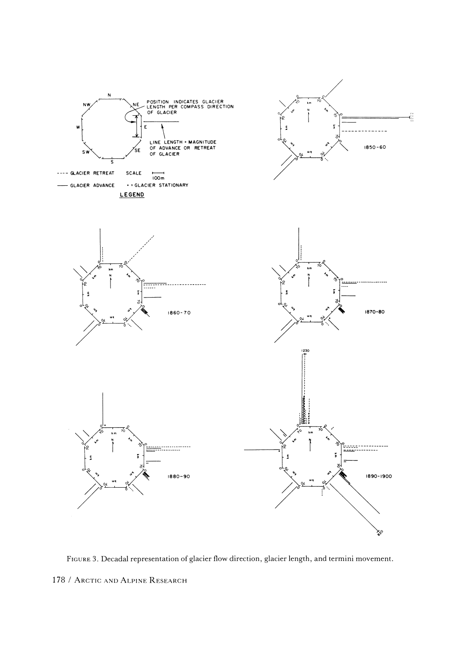

FIGURE 3. Decadal representation of glacier flow direction, glacier length, and termini movement. 178 / ARCTIC AND ALPINE RESEARCH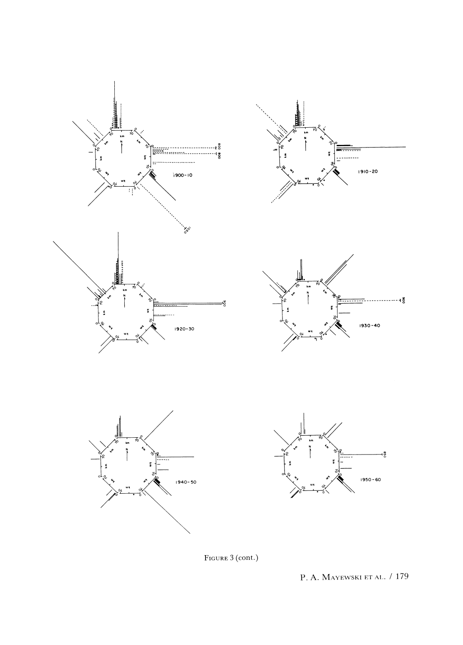

FIGURE 3 (cont.)

P. A. MAYEWSKI ET AL. / 179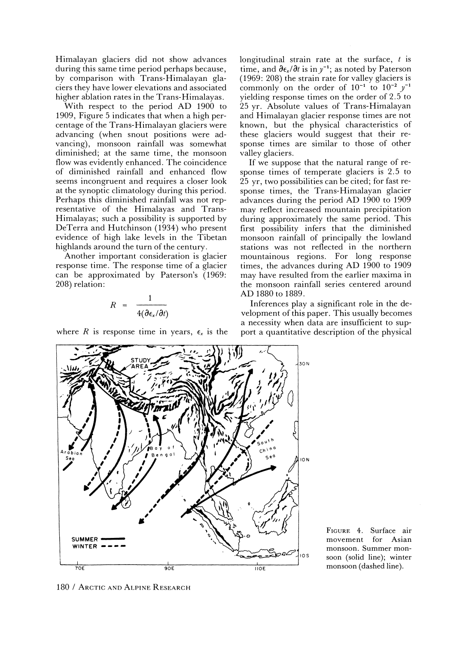Himalayan glaciers did not show advances during this same time period perhaps because, by comparison with Trans-Himalayan glaciers they have lower elevations and associated higher ablation rates in the Trans-Himalayas.

With respect to the period AD 1900 to 1909, Figure 5 indicates that when a high percentage of the Trans-Himalayan glaciers were advancing (when snout positions were advancing), monsoon rainfall was somewhat diminished; at the same time, the monsoon flow was evidently enhanced. The coincidence of diminished rainfall and enhanced flow seems incongruent and requires a closer look at the synoptic climatology during this period. Perhaps this diminished rainfall was not representative of the Himalayas and Trans-Himalayas; such a possibility is supported by DeTerra and Hutchinson (1934) who present evidence of high lake levels in the Tibetan highlands around the turn of the century.

Another important consideration is glacier response time. The response time of a glacier can be approximated by Paterson's (1969: 208) relation:

$$
R = \frac{1}{4(\partial \epsilon_x / \partial t)}
$$

where *R* is response time in years,  $\epsilon_x$  is the

longitudinal strain rate at the surface, *t* is time, and  $\partial \epsilon_{x}/\partial t$  is in  $y^{-1}$ ; as noted by Paterson (1969: 208) the strain rate for valley glaciers is commonly on the order of  $10^{-1}$  to  $10^{-2}$   $y^{-1}$ yielding response times on the order of 2.5 to 25 yr. Absolute values of Trans-Himalayan and Himalayan glacier response times are not known, but the physical characteristics of these glaciers would suggest that their response times are similar to those of other valley glaciers.

If we suppose that the natural range of response times of temperate glaciers is 2.5 to 25 yr, two possibilities can be cited; for fast response times, the Trans-Himalayan glacier advances during the period AD 1900 to 1909 may reflect increased mountain precipitation during approximately the same period. This first possibility infers that the diminished monsoon rainfall of principally the lowland stations was not reflected in the northern mountainous regions. For long response times, the advances during AD 1900 to 1909 may have resulted from the earlier maxima in the monsoon rainfall series centered around AD 1880 to 1889.

Inferences play a significant role in the development of this paper. This usually becomes a necessity when data are insufficient to support a quantitative description of the physical



FIGURE 4. Surface air movement for Asian monsoon. Summer monsoon (solid line); winter monsoon (dashed line).

180 / ARCTIC AND ALPINE RESEARCH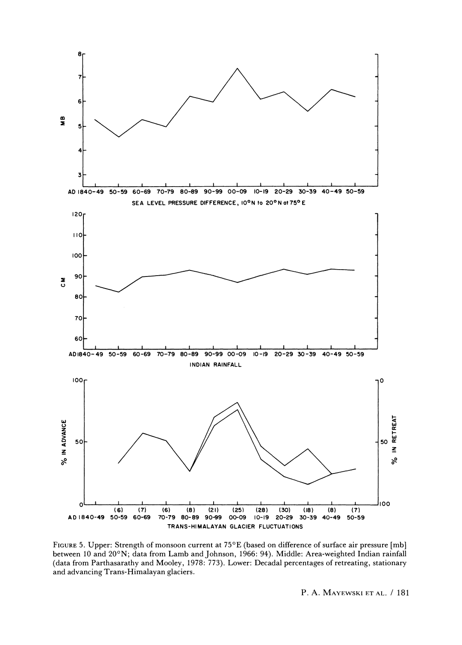

FIGURE 5. Upper: Strength of monsoon current at 75°E (based on difference of surface air pressure [mb] between 10 and 20°N; data from Lamb and Johnson, 1966: 94). Middle: Area-weighted Indian rainfall (data from Parthasarathy and Mooley, 1978: 773). Lower: Decadal percentages of retreating, stationary and advancing Trans-Himalayan glaciers.